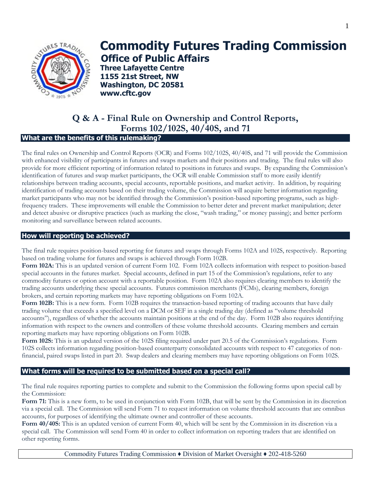

# **Commodity Futures Trading Commission Office of Public Affairs**

**Three Lafayette Centre 1155 21st Street, NW Washington, DC 20581 www.cftc.gov**

# **Q & A - Final Rule on Ownership and Control Reports, Forms 102/102S, 40/40S, and 71**

# **What are the benefits of this rulemaking?**

The final rules on Ownership and Control Reports (OCR) and Forms 102/102S, 40/40S, and 71 will provide the Commission with enhanced visibility of participants in futures and swaps markets and their positions and trading. The final rules will also provide for more efficient reporting of information related to positions in futures and swaps. By expanding the Commission's identification of futures and swap market participants, the OCR will enable Commission staff to more easily identify relationships between trading accounts, special accounts, reportable positions, and market activity. In addition, by requiring identification of trading accounts based on their trading volume, the Commission will acquire better information regarding market participants who may not be identified through the Commission's position-based reporting programs, such as highfrequency traders. These improvements will enable the Commission to better deter and prevent market manipulation; deter and detect abusive or disruptive practices (such as marking the close, "wash trading," or money passing); and better perform monitoring and surveillance between related accounts.

### **How will reporting be achieved?**

The final rule requires position-based reporting for futures and swaps through Forms 102A and 102S, respectively. Reporting based on trading volume for futures and swaps is achieved through Form 102B.

**Form 102A:** This is an updated version of current Form 102. Form 102A collects information with respect to position-based special accounts in the futures market. Special accounts, defined in part 15 of the Commission's regulations, refer to any commodity futures or option account with a reportable position. Form 102A also requires clearing members to identify the trading accounts underlying these special accounts. Futures commission merchants (FCMs), clearing members, foreign brokers, and certain reporting markets may have reporting obligations on Form 102A.

**Form 102B:** This is a new form. Form 102B requires the transaction-based reporting of trading accounts that have daily trading volume that exceeds a specified level on a DCM or SEF in a single trading day (defined as "volume threshold accounts"), regardless of whether the accounts maintain positions at the end of the day. Form 102B also requires identifying information with respect to the owners and controllers of these volume threshold accounts. Clearing members and certain reporting markets may have reporting obligations on Form 102B.

**Form 102S:** This is an updated version of the 102S filing required under part 20.5 of the Commission's regulations. Form 102S collects information regarding position-based counterparty consolidated accounts with respect to 47 categories of nonfinancial, paired swaps listed in part 20. Swap dealers and clearing members may have reporting obligations on Form 102S.

# **What forms will be required to be submitted based on a special call?**

The final rule requires reporting parties to complete and submit to the Commission the following forms upon special call by the Commission:

**Form 71:** This is a new form, to be used in conjunction with Form 102B, that will be sent by the Commission in its discretion via a special call. The Commission will send Form 71 to request information on volume threshold accounts that are omnibus accounts, for purposes of identifying the ultimate owner and controller of these accounts.

**Form 40/40S:** This is an updated version of current Form 40, which will be sent by the Commission in its discretion via a special call. The Commission will send Form 40 in order to collect information on reporting traders that are identified on other reporting forms.

Commodity Futures Trading Commission ♦ Division of Market Oversight ♦ 202-418-5260